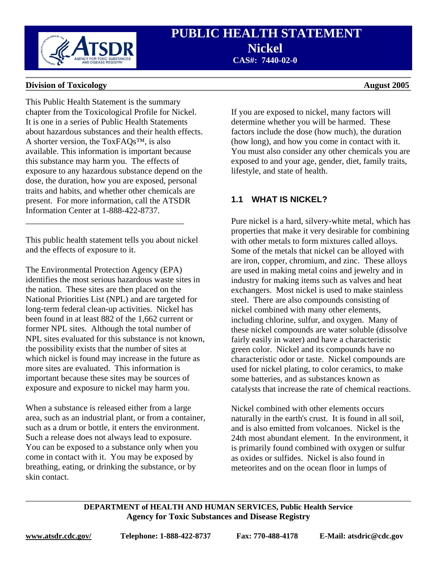

# **PUBLIC HEALTH STATEMENT Nickel CAS#: 7440-02-0**

#### **Division of Toxicology August 2005**

This Public Health Statement is the summary chapter from the Toxicological Profile for Nickel. It is one in a series of Public Health Statements about hazardous substances and their health effects. A shorter version, the ToxFAQs™, is also available. This information is important because this substance may harm you. The effects of exposure to any hazardous substance depend on the dose, the duration, how you are exposed, personal traits and habits, and whether other chemicals are present. For more information, call the ATSDR Information Center at 1-888-422-8737.

This public health statement tells you about nickel and the effects of exposure to it.

\_\_\_\_\_\_\_\_\_\_\_\_\_\_\_\_\_\_\_\_\_\_\_\_\_\_\_\_\_\_\_\_\_\_\_\_\_

The Environmental Protection Agency (EPA) identifies the most serious hazardous waste sites in the nation. These sites are then placed on the National Priorities List (NPL) and are targeted for long-term federal clean-up activities. Nickel has been found in at least 882 of the 1,662 current or former NPL sites. Although the total number of NPL sites evaluated for this substance is not known, the possibility exists that the number of sites at which nickel is found may increase in the future as more sites are evaluated. This information is important because these sites may be sources of exposure and exposure to nickel may harm you.

When a substance is released either from a large area, such as an industrial plant, or from a container, such as a drum or bottle, it enters the environment. Such a release does not always lead to exposure. You can be exposed to a substance only when you come in contact with it. You may be exposed by breathing, eating, or drinking the substance, or by skin contact.

If you are exposed to nickel, many factors will determine whether you will be harmed. These factors include the dose (how much), the duration (how long), and how you come in contact with it. You must also consider any other chemicals you are exposed to and your age, gender, diet, family traits, lifestyle, and state of health.

# **1.1 WHAT IS NICKEL?**

Pure nickel is a hard, silvery-white metal, which has properties that make it very desirable for combining with other metals to form mixtures called alloys. Some of the metals that nickel can be alloyed with are iron, copper, chromium, and zinc. These alloys are used in making metal coins and jewelry and in industry for making items such as valves and heat exchangers. Most nickel is used to make stainless steel. There are also compounds consisting of nickel combined with many other elements, including chlorine, sulfur, and oxygen. Many of these nickel compounds are water soluble (dissolve fairly easily in water) and have a characteristic green color. Nickel and its compounds have no characteristic odor or taste. Nickel compounds are used for nickel plating, to color ceramics, to make some batteries, and as substances known as catalysts that increase the rate of chemical reactions.

Nickel combined with other elements occurs naturally in the earth's crust. It is found in all soil, and is also emitted from volcanoes. Nickel is the 24th most abundant element. In the environment, it is primarily found combined with oxygen or sulfur as oxides or sulfides. Nickel is also found in meteorites and on the ocean floor in lumps of

#### **DEPARTMENT of HEALTH AND HUMAN SERVICES, Public Health Service Agency for Toxic Substances and Disease Registry**

\_\_\_\_\_\_\_\_\_\_\_\_\_\_\_\_\_\_\_\_\_\_\_\_\_\_\_\_\_\_\_\_\_\_\_\_\_\_\_\_\_\_\_\_\_\_\_\_\_\_\_\_\_\_\_\_\_\_\_\_\_\_\_\_\_\_\_\_\_\_\_\_\_\_\_\_\_\_\_\_\_\_\_\_\_\_\_\_\_\_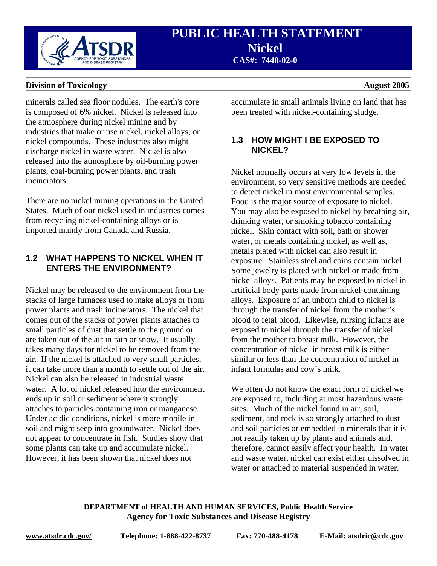

minerals called sea floor nodules. The earth's core is composed of 6% nickel. Nickel is released into the atmosphere during nickel mining and by industries that make or use nickel, nickel alloys, or nickel compounds. These industries also might discharge nickel in waste water. Nickel is also released into the atmosphere by oil-burning power plants, coal-burning power plants, and trash incinerators.

There are no nickel mining operations in the United States. Much of our nickel used in industries comes from recycling nickel-containing alloys or is imported mainly from Canada and Russia.

# **1.2 WHAT HAPPENS TO NICKEL WHEN IT ENTERS THE ENVIRONMENT?**

Nickel may be released to the environment from the stacks of large furnaces used to make alloys or from power plants and trash incinerators. The nickel that comes out of the stacks of power plants attaches to small particles of dust that settle to the ground or are taken out of the air in rain or snow. It usually takes many days for nickel to be removed from the air. If the nickel is attached to very small particles, it can take more than a month to settle out of the air. Nickel can also be released in industrial waste water. A lot of nickel released into the environment ends up in soil or sediment where it strongly attaches to particles containing iron or manganese. Under acidic conditions, nickel is more mobile in soil and might seep into groundwater. Nickel does not appear to concentrate in fish. Studies show that some plants can take up and accumulate nickel. However, it has been shown that nickel does not

accumulate in small animals living on land that has been treated with nickel-containing sludge.

# **1.3 HOW MIGHT I BE EXPOSED TO NICKEL?**

Nickel normally occurs at very low levels in the environment, so very sensitive methods are needed to detect nickel in most environmental samples. Food is the major source of exposure to nickel. You may also be exposed to nickel by breathing air, drinking water, or smoking tobacco containing nickel. Skin contact with soil, bath or shower water, or metals containing nickel, as well as, metals plated with nickel can also result in exposure. Stainless steel and coins contain nickel. Some jewelry is plated with nickel or made from nickel alloys. Patients may be exposed to nickel in artificial body parts made from nickel-containing alloys. Exposure of an unborn child to nickel is through the transfer of nickel from the mother's blood to fetal blood. Likewise, nursing infants are exposed to nickel through the transfer of nickel from the mother to breast milk. However, the concentration of nickel in breast milk is either similar or less than the concentration of nickel in infant formulas and cow's milk.

We often do not know the exact form of nickel we are exposed to, including at most hazardous waste sites. Much of the nickel found in air, soil, sediment, and rock is so strongly attached to dust and soil particles or embedded in minerals that it is not readily taken up by plants and animals and, therefore, cannot easily affect your health. In water and waste water, nickel can exist either dissolved in water or attached to material suspended in water.

**DEPARTMENT of HEALTH AND HUMAN SERVICES, Public Health Service Agency for Toxic Substances and Disease Registry** 

\_\_\_\_\_\_\_\_\_\_\_\_\_\_\_\_\_\_\_\_\_\_\_\_\_\_\_\_\_\_\_\_\_\_\_\_\_\_\_\_\_\_\_\_\_\_\_\_\_\_\_\_\_\_\_\_\_\_\_\_\_\_\_\_\_\_\_\_\_\_\_\_\_\_\_\_\_\_\_\_\_\_\_\_\_\_\_\_\_\_

| /www.atsdr.cdc.gov | Telephone: 1-888-422-8737 | Fax: 770-488-4178 | E-Mail: atsdric@cdc.gov |
|--------------------|---------------------------|-------------------|-------------------------|
|                    |                           |                   |                         |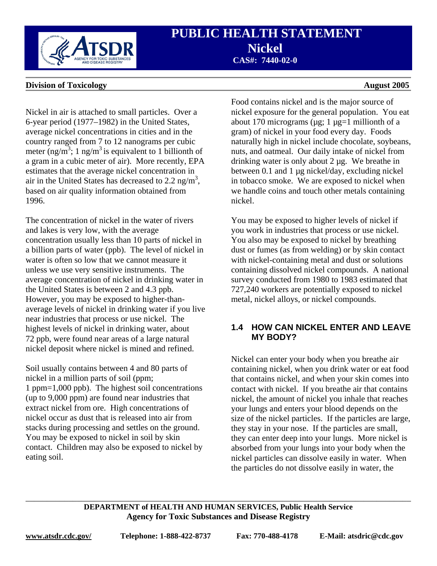

Nickel in air is attached to small particles. Over a 6-year period (1977–1982) in the United States, average nickel concentrations in cities and in the country ranged from 7 to 12 nanograms per cubic meter (ng/m<sup>3</sup>; 1 ng/m<sup>3</sup> is equivalent to 1 billionth of a gram in a cubic meter of air). More recently, EPA estimates that the average nickel concentration in air in the United States has decreased to 2.2 ng/ $m^3$ , based on air quality information obtained from 1996.

The concentration of nickel in the water of rivers and lakes is very low, with the average concentration usually less than 10 parts of nickel in a billion parts of water (ppb). The level of nickel in water is often so low that we cannot measure it unless we use very sensitive instruments. The average concentration of nickel in drinking water in the United States is between 2 and 4.3 ppb. However, you may be exposed to higher-thanaverage levels of nickel in drinking water if you live near industries that process or use nickel. The highest levels of nickel in drinking water, about 72 ppb, were found near areas of a large natural nickel deposit where nickel is mined and refined.

Soil usually contains between 4 and 80 parts of nickel in a million parts of soil (ppm; 1 ppm=1,000 ppb). The highest soil concentrations (up to 9,000 ppm) are found near industries that extract nickel from ore. High concentrations of nickel occur as dust that is released into air from stacks during processing and settles on the ground. You may be exposed to nickel in soil by skin contact. Children may also be exposed to nickel by eating soil.

Food contains nickel and is the major source of nickel exposure for the general population. You eat about 170 micrograms ( $\mu$ g; 1  $\mu$ g=1 millionth of a gram) of nickel in your food every day. Foods naturally high in nickel include chocolate, soybeans, nuts, and oatmeal. Our daily intake of nickel from drinking water is only about 2 µg. We breathe in between 0.1 and 1 µg nickel/day, excluding nickel in tobacco smoke. We are exposed to nickel when we handle coins and touch other metals containing nickel.

You may be exposed to higher levels of nickel if you work in industries that process or use nickel. You also may be exposed to nickel by breathing dust or fumes (as from welding) or by skin contact with nickel-containing metal and dust or solutions containing dissolved nickel compounds. A national survey conducted from 1980 to 1983 estimated that 727,240 workers are potentially exposed to nickel metal, nickel alloys, or nickel compounds.

# **1.4 HOW CAN NICKEL ENTER AND LEAVE MY BODY?**

Nickel can enter your body when you breathe air containing nickel, when you drink water or eat food that contains nickel, and when your skin comes into contact with nickel. If you breathe air that contains nickel, the amount of nickel you inhale that reaches your lungs and enters your blood depends on the size of the nickel particles. If the particles are large, they stay in your nose. If the particles are small, they can enter deep into your lungs. More nickel is absorbed from your lungs into your body when the nickel particles can dissolve easily in water. When the particles do not dissolve easily in water, the

\_\_\_\_\_\_\_\_\_\_\_\_\_\_\_\_\_\_\_\_\_\_\_\_\_\_\_\_\_\_\_\_\_\_\_\_\_\_\_\_\_\_\_\_\_\_\_\_\_\_\_\_\_\_\_\_\_\_\_\_\_\_\_\_\_\_\_\_\_\_\_\_\_\_\_\_\_\_\_\_\_\_\_\_\_\_\_\_\_\_ **DEPARTMENT of HEALTH AND HUMAN SERVICES, Public Health Service Agency for Toxic Substances and Disease Registry** 

| /www.atsdr.cdc.gov | Telephone: 1-888-422-8737 | Fax: 770-488-4178 | E-Mail: atsdric@cdc.gov |
|--------------------|---------------------------|-------------------|-------------------------|
|--------------------|---------------------------|-------------------|-------------------------|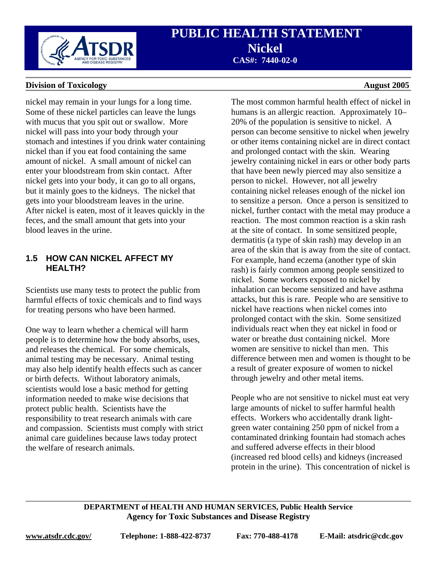

nickel may remain in your lungs for a long time. Some of these nickel particles can leave the lungs with mucus that you spit out or swallow. More nickel will pass into your body through your stomach and intestines if you drink water containing nickel than if you eat food containing the same amount of nickel. A small amount of nickel can enter your bloodstream from skin contact. After nickel gets into your body, it can go to all organs, but it mainly goes to the kidneys. The nickel that gets into your bloodstream leaves in the urine. After nickel is eaten, most of it leaves quickly in the feces, and the small amount that gets into your blood leaves in the urine.

### **1.5 HOW CAN NICKEL AFFECT MY HEALTH?**

Scientists use many tests to protect the public from harmful effects of toxic chemicals and to find ways for treating persons who have been harmed.

One way to learn whether a chemical will harm people is to determine how the body absorbs, uses, and releases the chemical. For some chemicals, animal testing may be necessary. Animal testing may also help identify health effects such as cancer or birth defects. Without laboratory animals, scientists would lose a basic method for getting information needed to make wise decisions that protect public health. Scientists have the responsibility to treat research animals with care and compassion. Scientists must comply with strict animal care guidelines because laws today protect the welfare of research animals.

The most common harmful health effect of nickel in humans is an allergic reaction. Approximately 10– 20% of the population is sensitive to nickel. A person can become sensitive to nickel when jewelry or other items containing nickel are in direct contact and prolonged contact with the skin. Wearing jewelry containing nickel in ears or other body parts that have been newly pierced may also sensitize a person to nickel. However, not all jewelry containing nickel releases enough of the nickel ion to sensitize a person. Once a person is sensitized to nickel, further contact with the metal may produce a reaction. The most common reaction is a skin rash at the site of contact. In some sensitized people, dermatitis (a type of skin rash) may develop in an area of the skin that is away from the site of contact. For example, hand eczema (another type of skin rash) is fairly common among people sensitized to nickel. Some workers exposed to nickel by inhalation can become sensitized and have asthma attacks, but this is rare. People who are sensitive to nickel have reactions when nickel comes into prolonged contact with the skin. Some sensitized individuals react when they eat nickel in food or water or breathe dust containing nickel. More women are sensitive to nickel than men. This difference between men and women is thought to be a result of greater exposure of women to nickel through jewelry and other metal items.

People who are not sensitive to nickel must eat very large amounts of nickel to suffer harmful health effects. Workers who accidentally drank lightgreen water containing 250 ppm of nickel from a contaminated drinking fountain had stomach aches and suffered adverse effects in their blood (increased red blood cells) and kidneys (increased protein in the urine). This concentration of nickel is

\_\_\_\_\_\_\_\_\_\_\_\_\_\_\_\_\_\_\_\_\_\_\_\_\_\_\_\_\_\_\_\_\_\_\_\_\_\_\_\_\_\_\_\_\_\_\_\_\_\_\_\_\_\_\_\_\_\_\_\_\_\_\_\_\_\_\_\_\_\_\_\_\_\_\_\_\_\_\_\_\_\_\_\_\_\_\_\_\_\_ **DEPARTMENT of HEALTH AND HUMAN SERVICES, Public Health Service Agency for Toxic Substances and Disease Registry**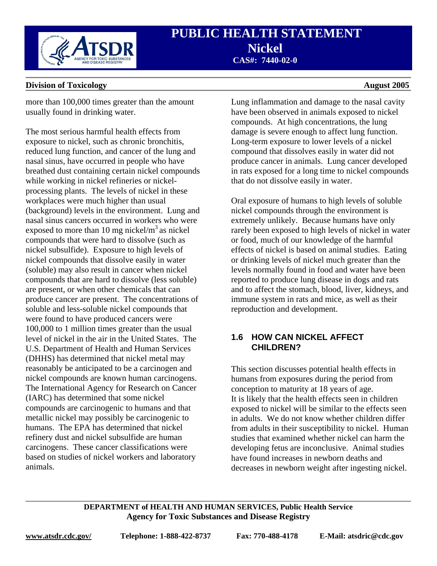

more than 100,000 times greater than the amount usually found in drinking water.

The most serious harmful health effects from exposure to nickel, such as chronic bronchitis, reduced lung function, and cancer of the lung and nasal sinus, have occurred in people who have breathed dust containing certain nickel compounds while working in nickel refineries or nickelprocessing plants. The levels of nickel in these workplaces were much higher than usual (background) levels in the environment. Lung and nasal sinus cancers occurred in workers who were exposed to more than 10 mg nickel/ $m<sup>3</sup>$  as nickel compounds that were hard to dissolve (such as nickel subsulfide). Exposure to high levels of nickel compounds that dissolve easily in water (soluble) may also result in cancer when nickel compounds that are hard to dissolve (less soluble) are present, or when other chemicals that can produce cancer are present. The concentrations of soluble and less-soluble nickel compounds that were found to have produced cancers were 100,000 to 1 million times greater than the usual level of nickel in the air in the United States. The U.S. Department of Health and Human Services (DHHS) has determined that nickel metal may reasonably be anticipated to be a carcinogen and nickel compounds are known human carcinogens. The International Agency for Research on Cancer (IARC) has determined that some nickel compounds are carcinogenic to humans and that metallic nickel may possibly be carcinogenic to humans. The EPA has determined that nickel refinery dust and nickel subsulfide are human carcinogens. These cancer classifications were based on studies of nickel workers and laboratory animals.

Lung inflammation and damage to the nasal cavity have been observed in animals exposed to nickel compounds. At high concentrations, the lung damage is severe enough to affect lung function. Long-term exposure to lower levels of a nickel compound that dissolves easily in water did not produce cancer in animals. Lung cancer developed in rats exposed for a long time to nickel compounds that do not dissolve easily in water.

Oral exposure of humans to high levels of soluble nickel compounds through the environment is extremely unlikely. Because humans have only rarely been exposed to high levels of nickel in water or food, much of our knowledge of the harmful effects of nickel is based on animal studies. Eating or drinking levels of nickel much greater than the levels normally found in food and water have been reported to produce lung disease in dogs and rats and to affect the stomach, blood, liver, kidneys, and immune system in rats and mice, as well as their reproduction and development.

### **1.6 HOW CAN NICKEL AFFECT CHILDREN?**

This section discusses potential health effects in humans from exposures during the period from conception to maturity at 18 years of age. It is likely that the health effects seen in children exposed to nickel will be similar to the effects seen in adults. We do not know whether children differ from adults in their susceptibility to nickel. Human studies that examined whether nickel can harm the developing fetus are inconclusive. Animal studies have found increases in newborn deaths and decreases in newborn weight after ingesting nickel.

**DEPARTMENT of HEALTH AND HUMAN SERVICES, Public Health Service Agency for Toxic Substances and Disease Registry** 

\_\_\_\_\_\_\_\_\_\_\_\_\_\_\_\_\_\_\_\_\_\_\_\_\_\_\_\_\_\_\_\_\_\_\_\_\_\_\_\_\_\_\_\_\_\_\_\_\_\_\_\_\_\_\_\_\_\_\_\_\_\_\_\_\_\_\_\_\_\_\_\_\_\_\_\_\_\_\_\_\_\_\_\_\_\_\_\_\_\_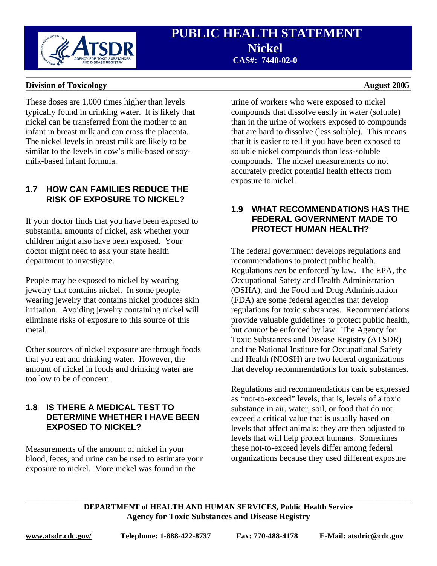

These doses are 1,000 times higher than levels typically found in drinking water. It is likely that nickel can be transferred from the mother to an infant in breast milk and can cross the placenta. The nickel levels in breast milk are likely to be similar to the levels in cow's milk-based or soymilk-based infant formula.

# **1.7 HOW CAN FAMILIES REDUCE THE RISK OF EXPOSURE TO NICKEL?**

If your doctor finds that you have been exposed to substantial amounts of nickel, ask whether your children might also have been exposed. Your doctor might need to ask your state health department to investigate.

People may be exposed to nickel by wearing jewelry that contains nickel. In some people, wearing jewelry that contains nickel produces skin irritation. Avoiding jewelry containing nickel will eliminate risks of exposure to this source of this metal.

Other sources of nickel exposure are through foods that you eat and drinking water. However, the amount of nickel in foods and drinking water are too low to be of concern.

# **1.8 IS THERE A MEDICAL TEST TO DETERMINE WHETHER I HAVE BEEN EXPOSED TO NICKEL?**

Measurements of the amount of nickel in your blood, feces, and urine can be used to estimate your exposure to nickel. More nickel was found in the

urine of workers who were exposed to nickel compounds that dissolve easily in water (soluble) than in the urine of workers exposed to compounds that are hard to dissolve (less soluble). This means that it is easier to tell if you have been exposed to soluble nickel compounds than less-soluble compounds. The nickel measurements do not accurately predict potential health effects from exposure to nickel.

# **1.9 WHAT RECOMMENDATIONS HAS THE FEDERAL GOVERNMENT MADE TO PROTECT HUMAN HEALTH?**

The federal government develops regulations and recommendations to protect public health. Regulations *can* be enforced by law. The EPA, the Occupational Safety and Health Administration (OSHA), and the Food and Drug Administration (FDA) are some federal agencies that develop regulations for toxic substances. Recommendations provide valuable guidelines to protect public health, but *cannot* be enforced by law. The Agency for Toxic Substances and Disease Registry (ATSDR) and the National Institute for Occupational Safety and Health (NIOSH) are two federal organizations that develop recommendations for toxic substances.

Regulations and recommendations can be expressed as "not-to-exceed" levels, that is, levels of a toxic substance in air, water, soil, or food that do not exceed a critical value that is usually based on levels that affect animals; they are then adjusted to levels that will help protect humans. Sometimes these not-to-exceed levels differ among federal organizations because they used different exposure

\_\_\_\_\_\_\_\_\_\_\_\_\_\_\_\_\_\_\_\_\_\_\_\_\_\_\_\_\_\_\_\_\_\_\_\_\_\_\_\_\_\_\_\_\_\_\_\_\_\_\_\_\_\_\_\_\_\_\_\_\_\_\_\_\_\_\_\_\_\_\_\_\_\_\_\_\_\_\_\_\_\_\_\_\_\_\_\_\_\_ **DEPARTMENT of HEALTH AND HUMAN SERVICES, Public Health Service Agency for Toxic Substances and Disease Registry**